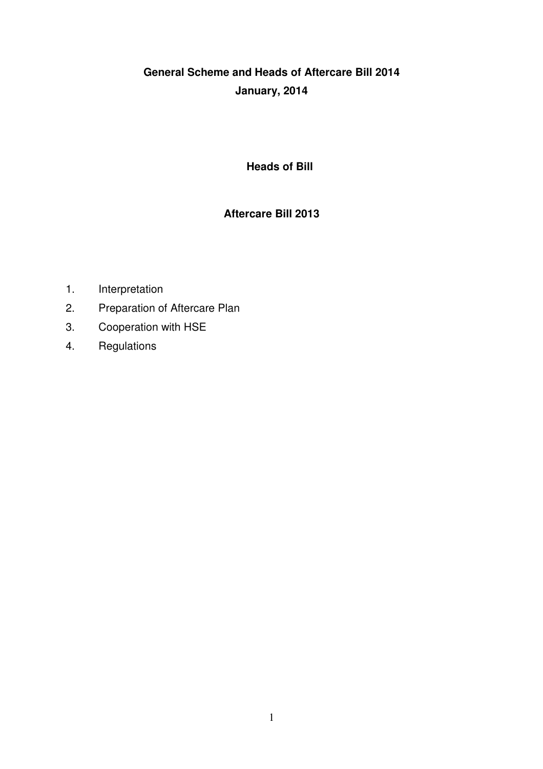# **General Scheme and Heads of Aftercare Bill 2014 January, 2014**

## **Heads of Bill**

# **Aftercare Bill 2013**

- 1. Interpretation
- 2. Preparation of Aftercare Plan
- 3. Cooperation with HSE
- 4. Regulations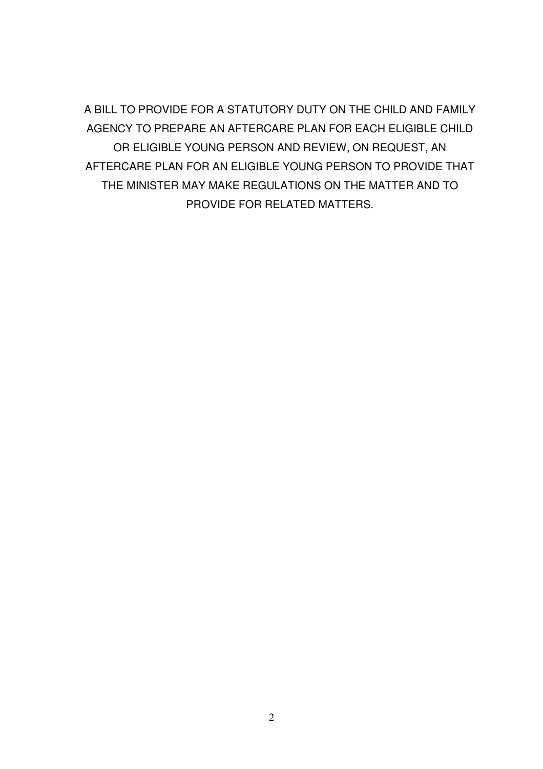A BILL TO PROVIDE FOR A STATUTORY DUTY ON THE CHILD AND FAMILY AGENCY TO PREPARE AN AFTERCARE PLAN FOR EACH ELIGIBLE CHILD OR ELIGIBLE YOUNG PERSON AND REVIEW, ON REQUEST, AN AFTERCARE PLAN FOR AN ELIGIBLE YOUNG PERSON TO PROVIDE THAT THE MINISTER MAY MAKE REGULATIONS ON THE MATTER AND TO PROVIDE FOR RELATED MATTERS.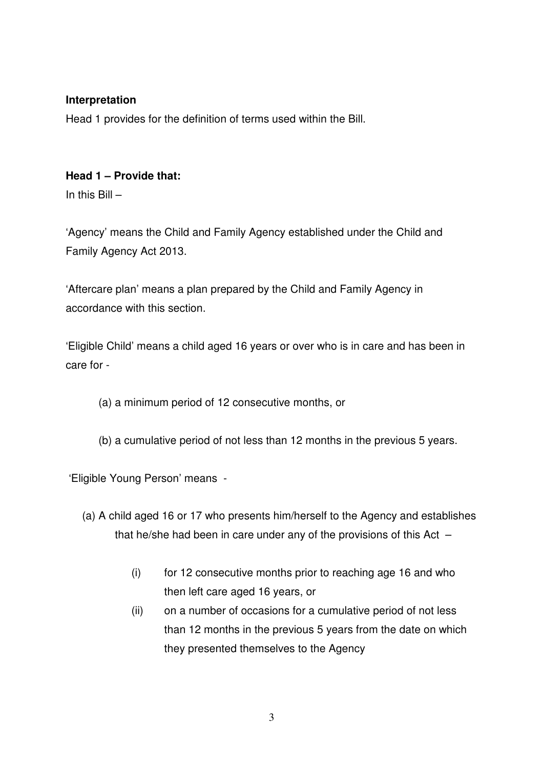#### **Interpretation**

Head 1 provides for the definition of terms used within the Bill.

## **Head 1 – Provide that:**

In this  $Bill -$ 

'Agency' means the Child and Family Agency established under the Child and Family Agency Act 2013.

'Aftercare plan' means a plan prepared by the Child and Family Agency in accordance with this section.

'Eligible Child' means a child aged 16 years or over who is in care and has been in care for -

(a) a minimum period of 12 consecutive months, or

(b) a cumulative period of not less than 12 months in the previous 5 years.

'Eligible Young Person' means -

- (a) A child aged 16 or 17 who presents him/herself to the Agency and establishes that he/she had been in care under any of the provisions of this Act  $-$ 
	- (i) for 12 consecutive months prior to reaching age 16 and who then left care aged 16 years, or
	- (ii) on a number of occasions for a cumulative period of not less than 12 months in the previous 5 years from the date on which they presented themselves to the Agency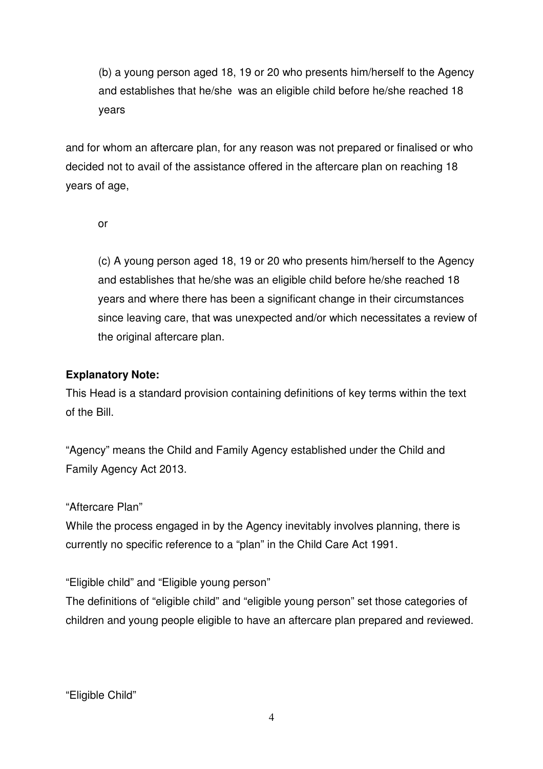(b) a young person aged 18, 19 or 20 who presents him/herself to the Agency and establishes that he/she was an eligible child before he/she reached 18 years

and for whom an aftercare plan, for any reason was not prepared or finalised or who decided not to avail of the assistance offered in the aftercare plan on reaching 18 years of age,

or

(c) A young person aged 18, 19 or 20 who presents him/herself to the Agency and establishes that he/she was an eligible child before he/she reached 18 years and where there has been a significant change in their circumstances since leaving care, that was unexpected and/or which necessitates a review of the original aftercare plan.

#### **Explanatory Note:**

This Head is a standard provision containing definitions of key terms within the text of the Bill.

"Agency" means the Child and Family Agency established under the Child and Family Agency Act 2013.

#### "Aftercare Plan"

While the process engaged in by the Agency inevitably involves planning, there is currently no specific reference to a "plan" in the Child Care Act 1991.

"Eligible child" and "Eligible young person"

The definitions of "eligible child" and "eligible young person" set those categories of children and young people eligible to have an aftercare plan prepared and reviewed.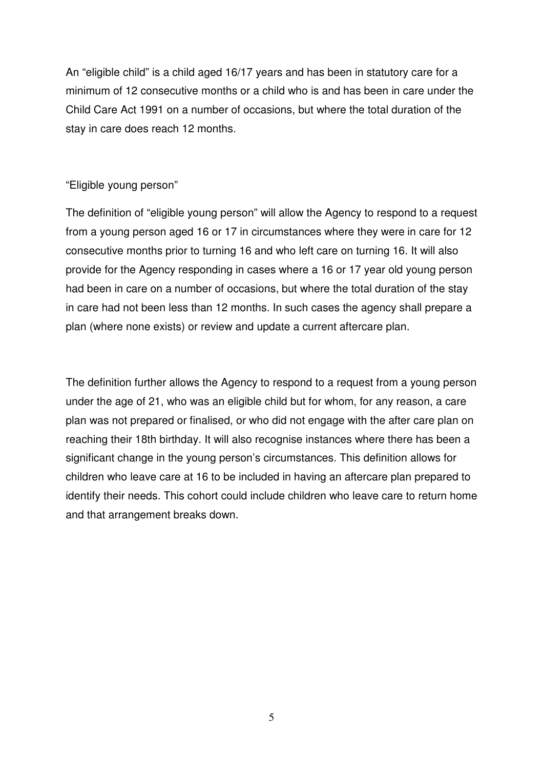An "eligible child" is a child aged 16/17 years and has been in statutory care for a minimum of 12 consecutive months or a child who is and has been in care under the Child Care Act 1991 on a number of occasions, but where the total duration of the stay in care does reach 12 months.

#### "Eligible young person"

The definition of "eligible young person" will allow the Agency to respond to a request from a young person aged 16 or 17 in circumstances where they were in care for 12 consecutive months prior to turning 16 and who left care on turning 16. It will also provide for the Agency responding in cases where a 16 or 17 year old young person had been in care on a number of occasions, but where the total duration of the stay in care had not been less than 12 months. In such cases the agency shall prepare a plan (where none exists) or review and update a current aftercare plan.

The definition further allows the Agency to respond to a request from a young person under the age of 21, who was an eligible child but for whom, for any reason, a care plan was not prepared or finalised, or who did not engage with the after care plan on reaching their 18th birthday. It will also recognise instances where there has been a significant change in the young person's circumstances. This definition allows for children who leave care at 16 to be included in having an aftercare plan prepared to identify their needs. This cohort could include children who leave care to return home and that arrangement breaks down.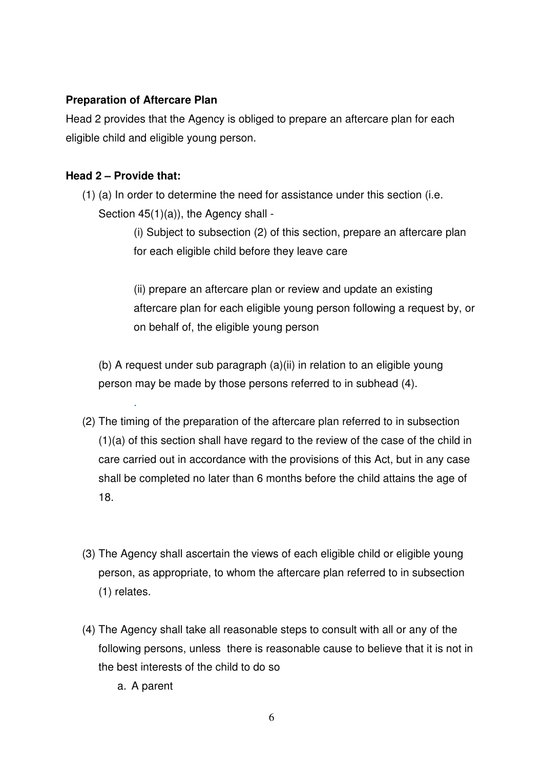## **Preparation of Aftercare Plan**

Head 2 provides that the Agency is obliged to prepare an aftercare plan for each eligible child and eligible young person.

## **Head 2 – Provide that:**

.

(1) (a) In order to determine the need for assistance under this section (i.e. Section 45(1)(a)), the Agency shall -

> (i) Subject to subsection (2) of this section, prepare an aftercare plan for each eligible child before they leave care

(ii) prepare an aftercare plan or review and update an existing aftercare plan for each eligible young person following a request by, or on behalf of, the eligible young person

(b) A request under sub paragraph (a)(ii) in relation to an eligible young person may be made by those persons referred to in subhead (4).

- (2) The timing of the preparation of the aftercare plan referred to in subsection (1)(a) of this section shall have regard to the review of the case of the child in care carried out in accordance with the provisions of this Act, but in any case shall be completed no later than 6 months before the child attains the age of 18.
- (3) The Agency shall ascertain the views of each eligible child or eligible young person, as appropriate, to whom the aftercare plan referred to in subsection (1) relates.
- (4) The Agency shall take all reasonable steps to consult with all or any of the following persons, unless there is reasonable cause to believe that it is not in the best interests of the child to do so
	- a. A parent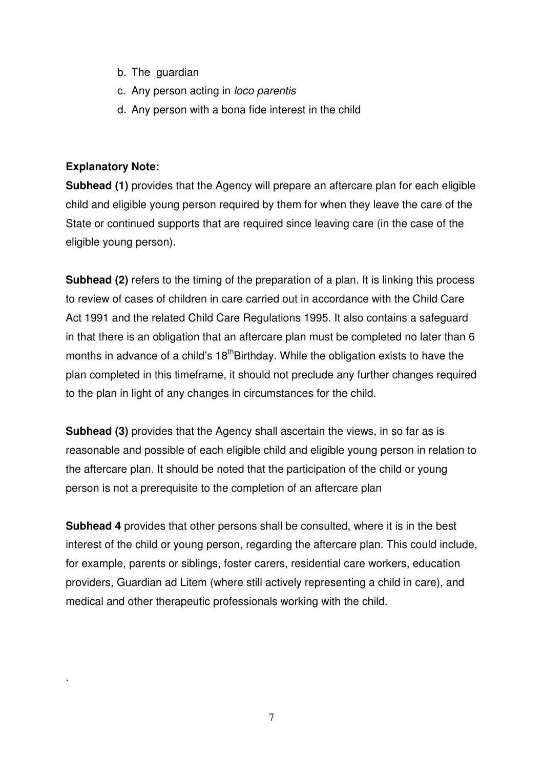- b. The guardian
- c. Any person acting in loco parentis
- d. Any person with a bona fide interest in the child

#### **Explanatory Note:**

.

**Subhead (1)** provides that the Agency will prepare an aftercare plan for each eligible child and eligible young person required by them for when they leave the care of the State or continued supports that are required since leaving care (in the case of the eligible young person).

**Subhead (2)** refers to the timing of the preparation of a plan. It is linking this process to review of cases of children in care carried out in accordance with the Child Care Act 1991 and the related Child Care Regulations 1995. It also contains a safeguard in that there is an obligation that an aftercare plan must be completed no later than 6 months in advance of a child's 18<sup>th</sup>Birthday. While the obligation exists to have the plan completed in this timeframe, it should not preclude any further changes required to the plan in light of any changes in circumstances for the child.

**Subhead (3)** provides that the Agency shall ascertain the views, in so far as is reasonable and possible of each eligible child and eligible young person in relation to the aftercare plan. It should be noted that the participation of the child or young person is not a prerequisite to the completion of an aftercare plan

**Subhead 4** provides that other persons shall be consulted, where it is in the best interest of the child or young person, regarding the aftercare plan. This could include, for example, parents or siblings, foster carers, residential care workers, education providers, Guardian ad Litem (where still actively representing a child in care), and medical and other therapeutic professionals working with the child.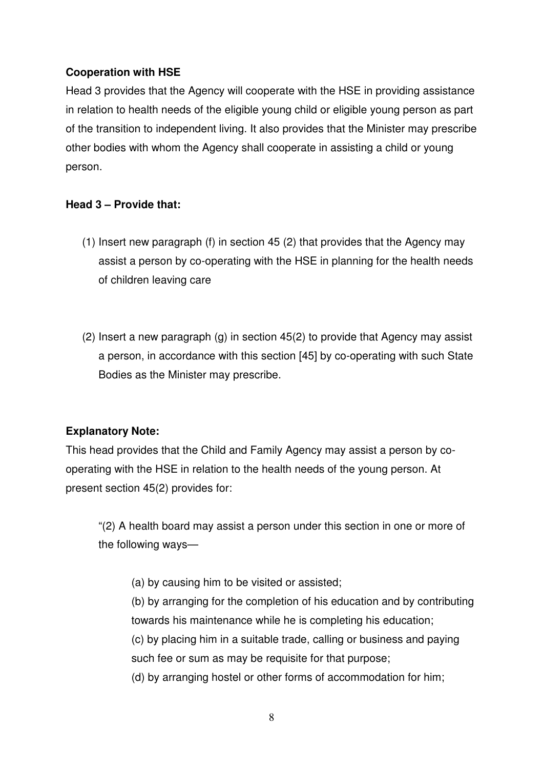## **Cooperation with HSE**

Head 3 provides that the Agency will cooperate with the HSE in providing assistance in relation to health needs of the eligible young child or eligible young person as part of the transition to independent living. It also provides that the Minister may prescribe other bodies with whom the Agency shall cooperate in assisting a child or young person.

## **Head 3 – Provide that:**

- (1) Insert new paragraph (f) in section 45 (2) that provides that the Agency may assist a person by co-operating with the HSE in planning for the health needs of children leaving care
- (2) Insert a new paragraph (g) in section 45(2) to provide that Agency may assist a person, in accordance with this section [45] by co-operating with such State Bodies as the Minister may prescribe.

# **Explanatory Note:**

This head provides that the Child and Family Agency may assist a person by cooperating with the HSE in relation to the health needs of the young person. At present section 45(2) provides for:

"(2) A health board may assist a person under this section in one or more of the following ways—

(a) by causing him to be visited or assisted;

(b) by arranging for the completion of his education and by contributing towards his maintenance while he is completing his education;

(c) by placing him in a suitable trade, calling or business and paying such fee or sum as may be requisite for that purpose;

(d) by arranging hostel or other forms of accommodation for him;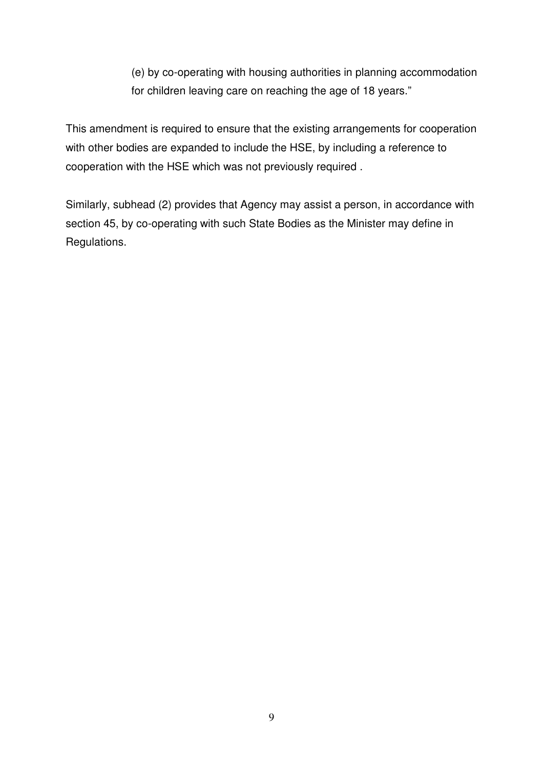(e) by co-operating with housing authorities in planning accommodation for children leaving care on reaching the age of 18 years."

This amendment is required to ensure that the existing arrangements for cooperation with other bodies are expanded to include the HSE, by including a reference to cooperation with the HSE which was not previously required .

Similarly, subhead (2) provides that Agency may assist a person, in accordance with section 45, by co-operating with such State Bodies as the Minister may define in Regulations.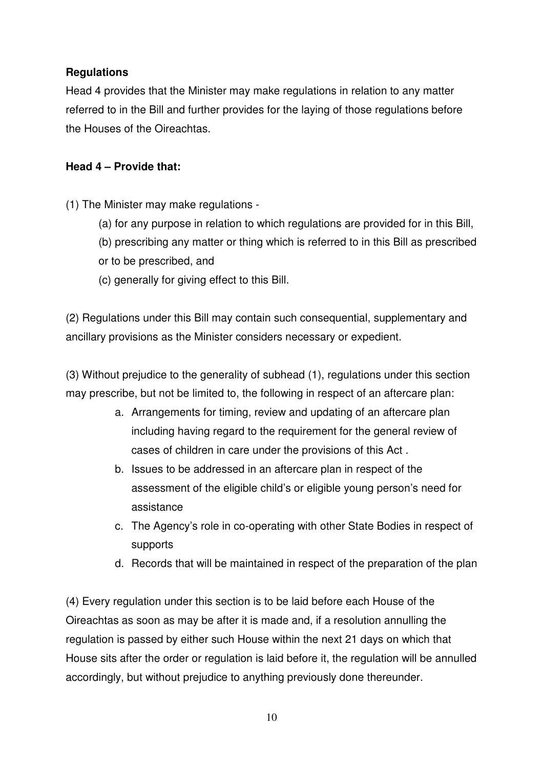# **Regulations**

Head 4 provides that the Minister may make regulations in relation to any matter referred to in the Bill and further provides for the laying of those regulations before the Houses of the Oireachtas.

# **Head 4 – Provide that:**

(1) The Minister may make regulations -

- (a) for any purpose in relation to which regulations are provided for in this Bill,
- (b) prescribing any matter or thing which is referred to in this Bill as prescribed
- or to be prescribed, and
- (c) generally for giving effect to this Bill.

(2) Regulations under this Bill may contain such consequential, supplementary and ancillary provisions as the Minister considers necessary or expedient.

(3) Without prejudice to the generality of subhead (1), regulations under this section may prescribe, but not be limited to, the following in respect of an aftercare plan:

- a. Arrangements for timing, review and updating of an aftercare plan including having regard to the requirement for the general review of cases of children in care under the provisions of this Act .
- b. Issues to be addressed in an aftercare plan in respect of the assessment of the eligible child's or eligible young person's need for assistance
- c. The Agency's role in co-operating with other State Bodies in respect of supports
- d. Records that will be maintained in respect of the preparation of the plan

(4) Every regulation under this section is to be laid before each House of the Oireachtas as soon as may be after it is made and, if a resolution annulling the regulation is passed by either such House within the next 21 days on which that House sits after the order or regulation is laid before it, the regulation will be annulled accordingly, but without prejudice to anything previously done thereunder.